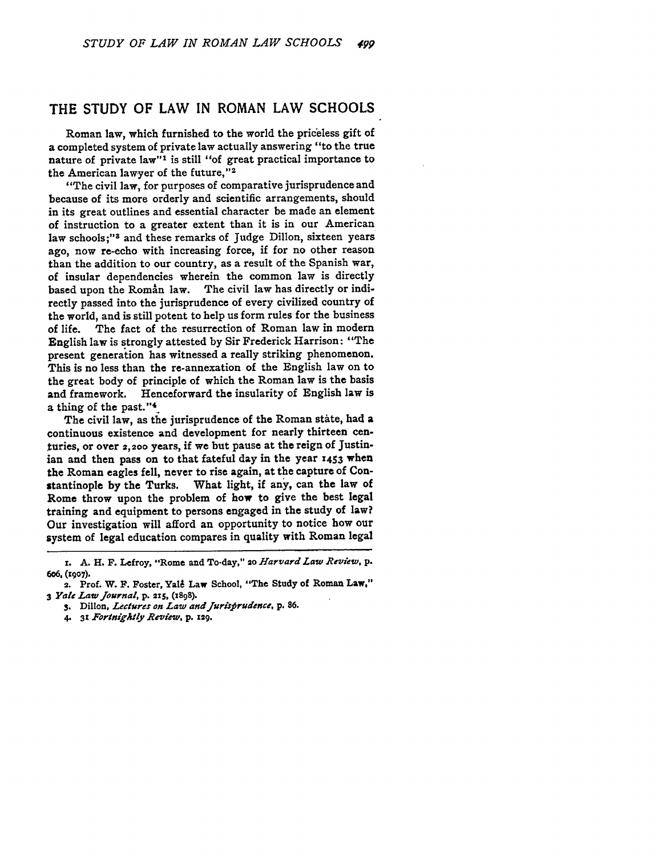## THE **STUDY** OF LAW **IN** ROMAN LAW **SCHOOLS**

Roman law, which furnished to the world the priceless gift of a completed system of private law actually answering "to the true nature of private law"<sup>1</sup> is still "of great practical importance to the American lawyer of the future, **"2**

"The civil law, for purposes of comparative jurisprudence and because of its more orderly and scientific arrangements, should in its great outlines and essential character be made an element of instruction to a greater extent than it is in our American law schools;"<sup>3</sup> and these remarks of Judge Dillon, sixteen years ago, now re-echo with increasing force, if for no other reason than the addition to our country, as a result of the Spanish war, of insular dependencies wherein the common law is directly based upon the Roman law. The civil law has directly or indirectly passed into the jurisprudence of every civilized country of the world, and is still potent to help us form rules for the business of life. The fact of the resurrection of Roman law in modern English law is strongly attested **by** Sir Frederick Harrison: "The present generation has witnessed a really striking phenomenon. This is no less than the re-annexation of the English law on to the great body of principle of which the Roman law is the basis<br>and framework. Henceforward the insularity of English law is Henceforward the insularity of English law is a thing of the past."<sup>4</sup>

The civil law, as **the** jurisprudence of the Roman stite, had a continuous existence and development for nearly thirteen centuries, or over 2,2oo years, if we but pause at the reign of Justinian and then pass on to that fateful day in the year **1453** when the Roman eagles fell, never to rise again, at the capture of Constantinople **by** the Turks. What light, if any, can the law of Rome throw upon the problem of how to give the best legal training and equipment to persons engaged in the study of law? Our investigation will afford an opportunity to notice how our system of legal education compares in quality with Roman legal

**x. A.** H. F. Lefroy, "Rome and To-day," 2o *Harvard Law Review, p.* **6W6, (igo7).**

<sup>2.</sup> Prof. W. F. Foster, Yale Law School, "The Study of Roman Law," **3** *Yale Law Journal,* **p. 215, (1898).**

**S.** Dillon, *Lectures on Law and Jurisfirudence, p.* **86.**

<sup>4.</sup> **31** *Fortnigktly Review,* **p. 129.**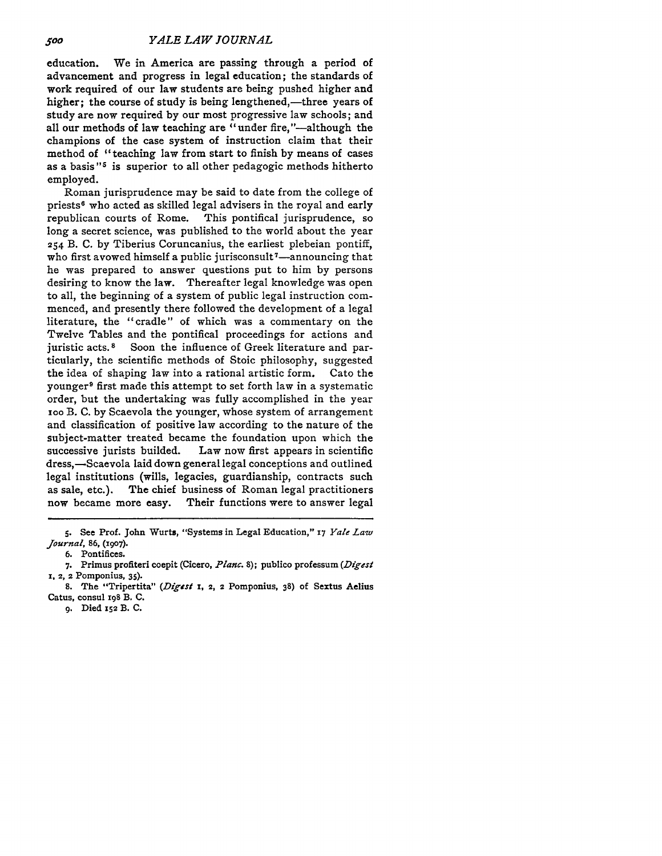education. We in America are passing through a period of advancement and progress in legal education; the standards of work required of our law students are being pushed higher and higher; the course of study is being lengthened,—three years of study are now required **by** our most progressive law schools; and all our methods of law teaching are "under fire,"—although the champions of the case system of instruction claim that their method of "teaching law from start to finish by means of cases as a basis **"5** is superior to all other pedagogic methods hitherto employed.

Roman jurisprudence may be said to date from the college of priests<sup>6</sup> who acted as skilled legal advisers in the royal and early republican courts of Rome. This pontifical jurisprudence, so long a secret science, was published to the world about the year **254** B. C. by Tiberius Coruncanius, the earliest plebeian pontiff, who first avowed himself a public jurisconsult<sup>7</sup>—announcing that he was prepared to answer questions put to him by persons desiring to know the law. Thereafter legal knowledge was open to all, the beginning of a system of public legal instruction commenced, and presently there followed the development of a legal literature, the "cradle" of which was a commentary on the Twelve Tables and the pontifical proceedings for actions and juristic acts.<sup>8</sup> Soon the influence of Greek literature and particularly, the scientific methods of Stoic philosophy, suggested the idea of shaping law into a rational artistic form. Cato the younger9 first made this attempt to set forth law in a systematic order, but the undertaking was fully accomplished in the year **ioo** B. **C.** by Scaevola the younger, whose system of arrangement and classification of positive law according to the nature of the subject-matter treated became the foundation upon which the successive jurists builded. Law now first appears in scientific dress,—Scaevola laid down general legal conceptions and outlined legal institutions (wills, legacies, guardianship, contracts such as sale, etc.). The chief business of Roman legal practitioners now became more easy. Their functions were to answer legal

**6.** Pontifices.

**<sup>5.</sup>** See Prof. John Wurts, "Systems in Legal Education," **17** Yale *Law Journal,* 86, (i9o7).

**<sup>7.</sup>** Primus profiteri coepit (Cicero, *Planc.* 8); publico professum (Digest **1. 2, 2** Pomponius, 35).

**<sup>8.</sup>** The "Tripertita" *(Digest 1,* **2,** 2 Pomponius, **38)** of Sextus Aelius Catus, consul **198** B. **C.**

**<sup>9.</sup>** Died **x52** B. **C.**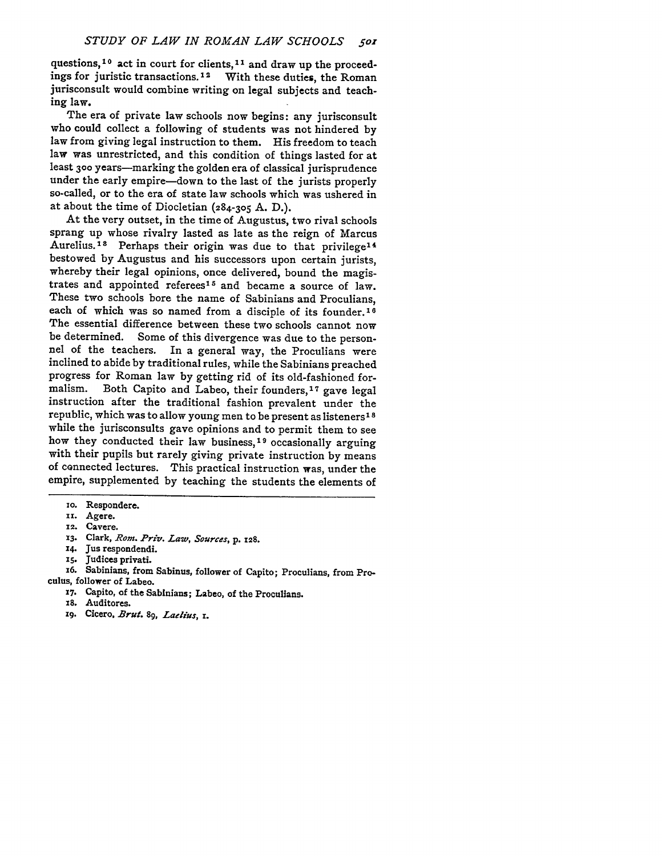questions, <sup>10</sup> act in court for clients, <sup>11</sup> and draw up the proceedings for juristic transactions. 1 2 With these duties, the Roman jurisconsult would combine writing on legal subjects and teaching law.

The era of private law schools now begins: any jurisconsult who could collect a following of students was not hindered by law from giving legal instruction to them. His freedom to teach law was unrestricted, and this condition of things lasted for at least **300** years-marking the golden era of classical jurisprudence under the early empire-down to the last of the jurists properly so-called, or to the era of state law schools which was ushered in at about the time of Diocletian (284-305 A. D.).

At the very outset, in the time of Augustus, two rival schools sprang up whose rivalry lasted as late as the reign of Marcus Aurelius.<sup>18</sup> Perhaps their origin was due to that privilege<sup>14</sup> bestowed by Augustus and his successors upon certain jurists, whereby their legal opinions, once delivered, bound the magistrates and appointed referees<sup>15</sup> and became a source of law. These two schools bore the name of Sabinians and Proculians, each of which was so named from a disciple of its founder.<sup>16</sup> The essential difference between these two schools cannot now be determined. Some of this divergence was due to the person-<br>nel of the teachers. In a general way, the Proculians were In a general way, the Proculians were inclined to abide by traditional rules, while the Sabinians preached progress for Roman law by getting rid of its old-fashioned formalism. Both Capito and Labeo, their founders,<sup>17</sup> gave legal instruction after the traditional fashion prevalent under the republic, which was to allow young men to be present as listeners' **<sup>8</sup>** while the jurisconsults gave opinions and to permit them to see how they conducted their law business,<sup>19</sup> occasionally arguing with their pupils but rarely giving private instruction by means of connected lectures. This practical instruction was, under the empire, supplemented by teaching the students the elements of

- **X3.** Clark, *Rom. Priv. Law, Sources,* **p.** 128.
- 14. Jus respondendi.
- *i5.* Judices privati.

- - **17.** Capito, of the Sabinians; Labeo, of the Proculians.
	- **x8.** Auditores.
	- **19.** Cicero, *Brut. 89, Laelius, x.*

io. Respondere.

**ii.** Agere.

**<sup>12.</sup>** Cavere.

**x6.** Sabinians, from Sabinus, follower of Capito; Proculians, from Proculus, follower of Labeo.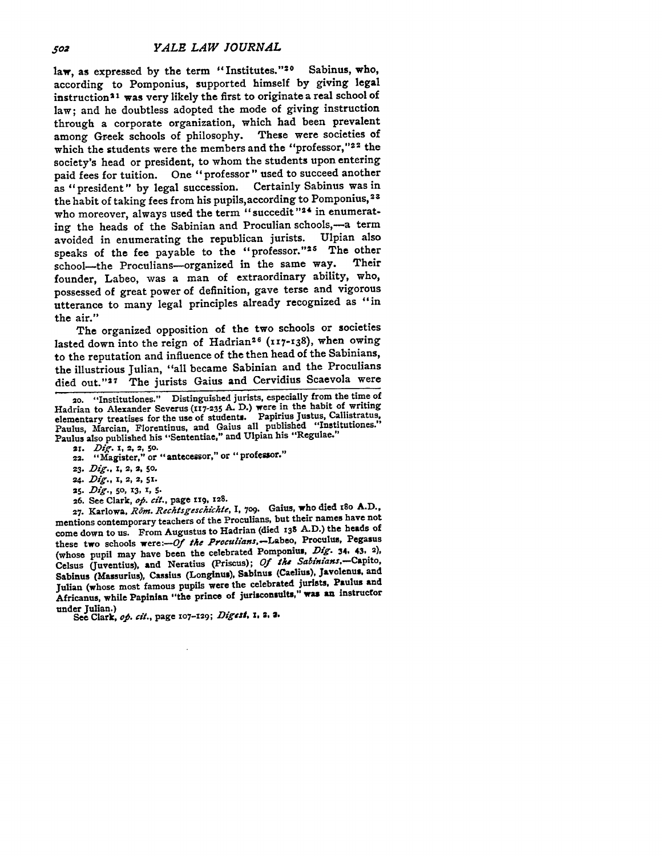law, as expressed by the term "Institutes."<sup>20</sup> Sabinus, who, according to Pomponius, supported himself **by** giving legal instruction 21 was very likely the first to originate a real school of law; and he doubtless adopted the mode of giving instruction through a corporate organization, which had been prevalent among Greek schools of philosophy. These were societies of which the students were the members and the "professor,"22 the society's head or president, to whom the students upon entering paid fees for tuition. One "professor" used to succeed another as "president" **by** legal succession. Certainly Sabinus was in the habit of taking fees from his pupils, according to Pomponius, 23 who moreover, always used the term "succedit"<sup>24</sup> in enumerating the heads of the Sabinian and Proculian schools,-a term<br>avoided in enumerating the republican jurists. Ulpian also avoided in enumerating the republican jurists. speaks of the fee payable to the "professor."<sup>25</sup> The other school the Proculians-organized in the same way. Their school-the Proculians-organized in the same way. founder, Labeo, was a man of extraordinary ability, who, possessed of great power of definition, gave terse and vigorous utterance to many legal principles already recognized as "in the air."

The organized opposition of the two schools or societies lasted down into the reign of Hadrian<sup>26</sup> (117-138), when owing to the reputation and influence of the then head of the Sabinians, the illustrious Julian, "all became Sabinian and the Proculians died out."<sup>27</sup> The jurists Gaius and Cervidius Scaevola were

- **23.** *Dig.,* **I, 2, 2, 50.**
- *24. Dig., 1,* **2, 2, 51.**
- **25.** *Dig., 50,* **13, 1, 5.**
- **26.** See Clark, *op. cit.,* page **rig, 128.**

**27.** Karlowa, *R6m. Rechtsgeschichte,* I, **709.** Gaius, who died i8o **A.D.,** mentions contemporary teachers of the Proculians, but their names have not come down to us. From Augustus to Hadrian (died **139 A.D.)** the heads of these two schools were:--Of *the Proculians.-Labeo,* Proculus, Pegasus (whose pupil may have been the celebrated Pomponius, *Dig.* 34, 43, **2),** Celsus (Juventius), **and** Neratius (Priscus); *Of* the *Sabinians.-Capito,* Sabinus (Massurius), Cassius (Longinus), Sabinus (Caelius), Javolenus, and Julian (whose most famous pupils were the celebrated jurists, Paulus and Africanus, while Papinlan "the prince of jurisconsults," was an instructor under Julian.)

See Clark, op. cit., page 107-129; Digest, 1, 2, 2.

**<sup>20.</sup>** "Institutiones." Distinguished jurists, especially from the time of Hadrian to Alexander Severus **(117-235 A. D.)** were in the habit of writing elementary treatises for the use of students. Papirius Justus, Callistratus, Paulus, Marcian, Florentinus, and Gaius all published "Institutiones." Paulus also published his "Sententiae," and Ulpian his "Regulae."

<sup>21.</sup> *Dig.* 1, 2, 2, 50.<br>22. **"Magister," or "antecessor," or "professor."**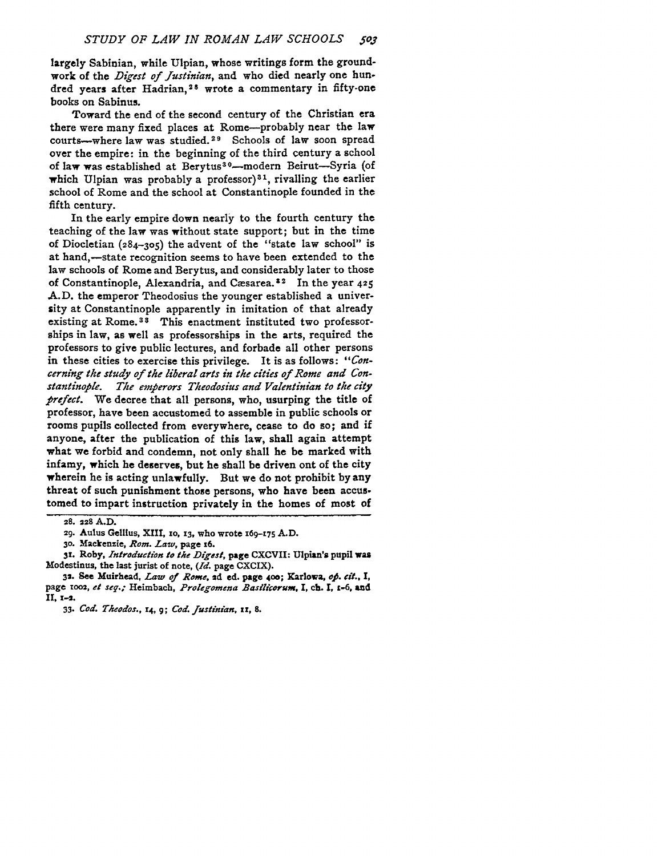largely Sabinian, while Ulpian, whose writings form the groundwork of the *Digest of Justinian,* and who died nearly one hundred years after Hadrian,<sup>28</sup> wrote a commentary in fifty-one books on Sabinus.

Toward the end of the second century of the Christian era there were many fixed places at Rome-probably near the law courts-where law was studied. 29 Schools of law soon spread over the empire: in the beginning of the third century a school of law was established at Berytus<sup>30</sup>-modern Beirut-Syria (of which Ulpian was probably a professor)<sup>31</sup>, rivalling the earlier school of Rome and the school at Constantinople founded in the fifth century.

In the early empire down nearly to the fourth century the teaching of the law was without state support; but in the time of Diocletian **(284-305)** the advent of the "state law school" is at hand,-state recognition seems to have been extended to the law schools of Rome and Berytus, and considerably later to those of Constantinople, Alexandria, and Casarea. 2 In the year **425 A.D.** the emperor Theodosius the younger established a university at Constantinople apparently in imitation of that already existing at Rome.<sup>33</sup> This enactment instituted two professorships in law, as well as professorships in the arts, required the professors to give public lectures, and forbade all other persons in these cities to exercise this privilege. It is as follows: *"Concerning the study of the liberal arts in the cities of Rome and Con. stantinople. The emperors Theodosius and Valentinian to the city* prefect. We decree that all persons, who, usurping the title of professor, have been accustomed to assemble in public schools or rooms pupils collected from everywhere, cease to do so; and if anyone, after the publication of this law, shall again attempt what we forbid and condemn, not only shall he be marked with infamy, which he deserves, but he shall be driven ont of the city wherein he is acting unlawfully. But we do not prohibit by any threat of such punishment those persons, who have been accustomed to impart instruction privately in the homes of most of

**3r. Roby,** *Introduction to the Digest,* **page CXCVII: Ulpian's pupil was Modestinus, the last jurist of note,** *(Id.* **page CXCIX).**

**32. See Muirhead,** *Law of Rome,* **2d ed.** page **4o; Karlowa,** *ofi. eft.,* **I, page 1002,** et *seg.;* **Heimbach,** *Prolegomena Basilcorum,* **I, ch. I, z-6, and II, 1-2.**

**<sup>28. 228</sup> A.D.**

**<sup>29.</sup> Aulus Gellius, XIII, 1o, 13, who wrote 169-175 A.D.**

**<sup>30.</sup> Mackenzie,** *Rom. Law,* **page 6.**

**<sup>33.</sup>** *Cod. YTkodos., r4,* **9;** *Cod. fustinian, xi,* **8.**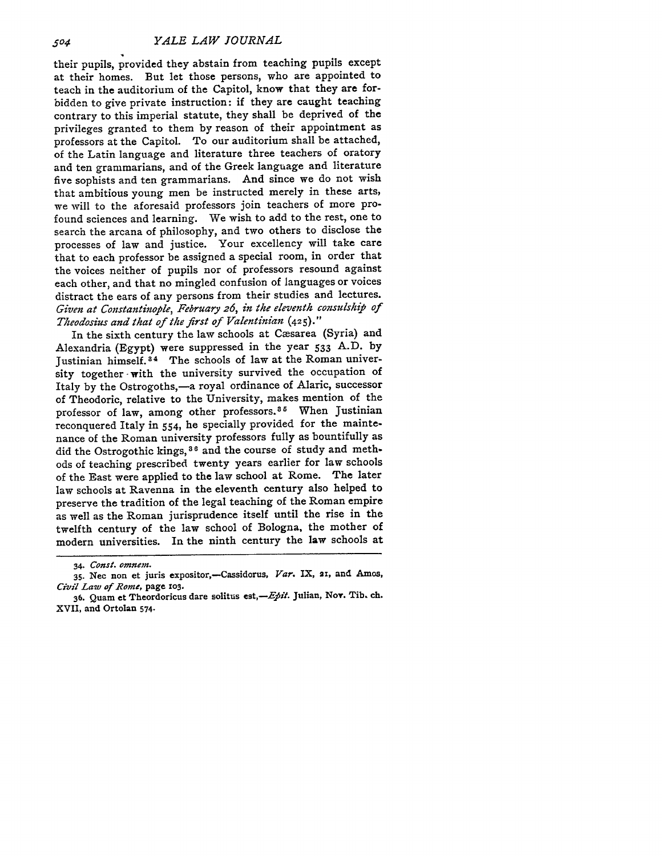their pupils, provided they abstain from teaching pupils except at their homes. But let those persons, who are appointed to teach in the auditorium of the Capitol, know that they are forbidden to give private instruction: if they are caught teaching contrary to this imperial statute, they shall be deprived of the privileges granted to them by reason of their appointment as professors at the Capitol. To our auditorium shall be attached, of the Latin language and literature three teachers of oratory and ten grammarians, and of the Greek language and literature five sophists and ten grammarians. And since we do not wish that ambitious young men be instructed merely in these arts, we will to the aforesaid professors join teachers of more profound sciences and learning. We wish to add to the rest, one to search the arcana of philosophy, and two others to disclose the processes of law and justice. Your excellency will take care that to each professor be assigned a special room, in order that the voices neither of pupils nor of professors resound against each other, and that no mingled confusion of languages or voices distract the ears of any persons from their studies and lectures. *Given at Constantinople, February 26, in the eleventh consulship of Theodosius and that of the first of Valentinian* **(425)."**

In the sixth century the law schools at Cæsarea (Syria) and Alexandria (Egypt) were suppressed in the year 533 A.D. by Justinian himself.3 4 The schools of law at the Roman university together with the university survived the occupation of Italy by the Ostrogoths,-a royal ordinance of Alaric, successor of Theodoric, relative to the University, makes mention of the professor of law, among other professors.<sup>35</sup> When Justinian reconquered Italy in 554, he specially provided for the maintenance of the Roman university professors fully as bountifully as did the Ostrogothic kings, <sup>36</sup> and the course of study and methods of teaching prescribed twenty years earlier for law schools of the East were applied to the law school at Rome. The later law schools at Ravenna in the eleventh century also helped to preserve the tradition of the legal teaching of the Roman empire as well as the Roman jurisprudence itself until the rise in the twelfth century of the law school of Bologna, the mother of modern universities. In the ninth century the law schools at

<sup>34.</sup> *Const.* omnem.

**<sup>35.</sup> Nee** non et juris expositor,-Cassidorus, *Var.* IX, **21,** and Amos, *Civil Law of.Rome,* page zo3.

<sup>36.</sup> Quam et Theordoricus dare solitus est,-Epit. Julian, Nov. Tib. ch. XVII, and Ortolan 574.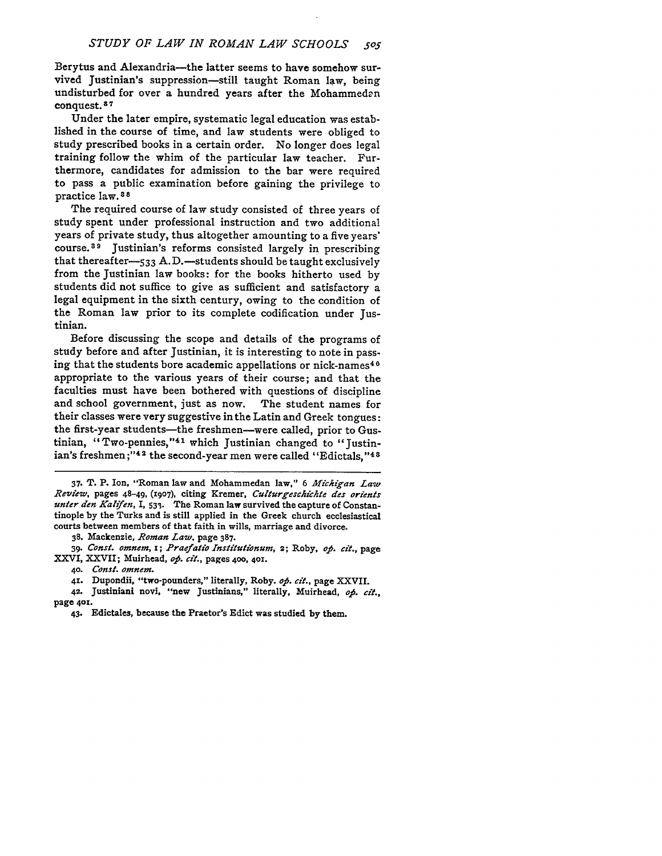Berytus and Alexandria-the latter seems to have somehow survived Justinian's suppression-still taught Roman law, being undisturbed for over a hundred years after the Mohammedan conquest.<sup>37</sup>

Under the later empire, systematic legal education was established in the course of time, and law students were obliged to study prescribed books in a certain order. No longer does legal training follow the whim of the particular law teacher. Furthermore, candidates for admission to the bar were required to pass a public examination before gaining the privilege to practice law. <sup>3</sup>**8s**

The required course of law study consisted of three years of study spent under professional instruction and two additional years of private study, thus altogether amounting to a five years' course.<sup>3</sup> 9 Justinian's reforms consisted largely in prescribing that thereafter-533 A.D.-students should be taught exclusively from the Justinian law books: for the books hitherto used by students did not suffice to give as sufficient and satisfactory a legal equipment in the sixth century, owing to the condition of the Roman law prior to its complete codification under Justinian.

Before discussing the scope and details of the programs of study before and after Justinian, it is interesting to note in passing that the students bore academic appellations or nick-names <sup>4</sup>**0** appropriate to the various years of their course; and that the faculties must have been bothered with questions of discipline and school government, just as now. The student names for their classes were very suggestive in the Latin and Greek tongues: the first-year students-the freshmen-were called, prior to Gustinian, "Two-pennies,"<sup>41</sup> which Justinian changed to "Justinian's freshmen;"<sup>42</sup> the second-year men were called "Edictals,"<sup>48</sup>

**37.** T. P. Ion, "Roman law and Mohammedan law," **6** *Michigan Law Review,* pages 48-49, **(1907),** citing Kremer, *Culturgeschichte des orients unter den Kalifen*, I, 533. The Roman law survived the capture of Constantinople by the Turks and is still applied in the Greek church ecclesiastical courts between members of that faith in wills, marriage and divorce.

**38.** Mackenzie, *Roman Law.* page **387.**

**39.** *Const. omnem, x; Praefatio Institutionum,* **2;** Roby, *op. cit-,* page XXVI, XXVII; Muirhead, *op. cit.,* pages **400, 401.**

*42.* Justiniani **novi,** "new Justinians," literally, Muirhead, *op. cit.,* page **4o.**

**<sup>40.</sup>** *Const. omnem.*

**<sup>41.</sup>** Dupondii, "two-pounders," literally, Roby. *op. cit.,* page XXVII.

<sup>43.</sup> Edictales, because the Praetor's Edict was studied **by** them.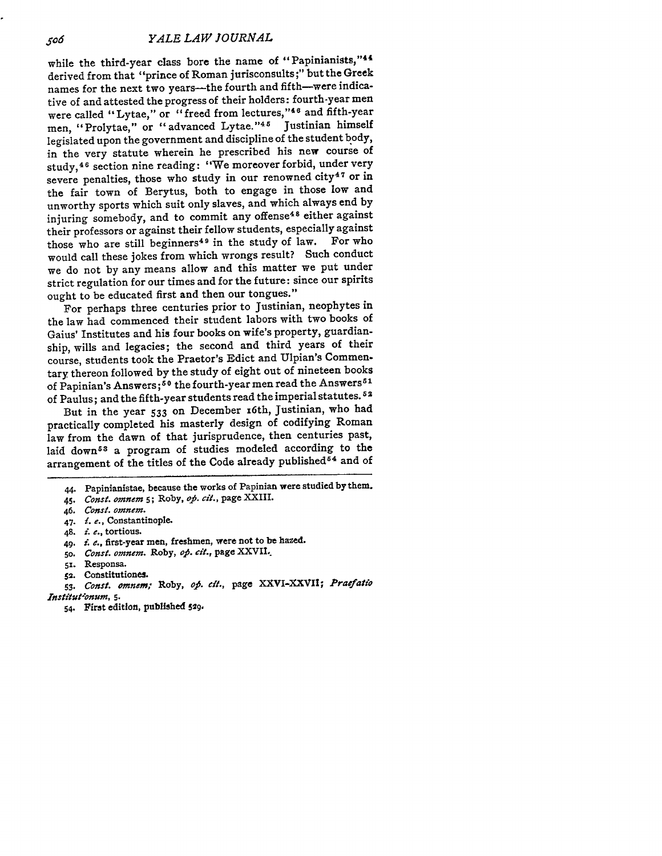while the third-year class bore the name of "Papinianists,"44 derived from that "prince of Roman jurisconsults **;"** but the Greek names for the next two years---the fourth and fifth-were indicative of and attested the progress of their holders: fourth-year men were called "Lytae," or "freed from lectures, **"4 <sup>6</sup>**and fifth-year men, "Prolytae," or "advanced Lytae."<sup>45</sup> Justinian himself legislated upon the government and discipline of the student body, in the very statute wherein he prescribed his new course of study, <sup>46</sup> section nine reading: "We moreover forbid, under very severe penalties, those who study in our renowned city<sup>47</sup> or in the fair town of Berytus, both to engage in those low and unworthy sports which suit only slaves, and which always end by injuring somebody, and to commit any offense<sup>48</sup> either against their professors or against their fellow students, especially against those who are still beginners<sup>49</sup> in the study of law. For who would call these jokes from which wrongs result? Such conduct we do not by any means allow and this matter we put under strict regulation for our times and for the future: since our spirits ought to be educated first and then our tongues."

For perhaps three centuries prior to Justinian, neophytes in the law had commenced their student labors with two books of Gaius' Institutes and his four books on wife's property, guardianship, wills and legacies; the second and third years of their course, students took the Praetor's Edict and Ulpian's Commentary thereon followed by the study of eight out of nineteen books of Papinian's Answers;<sup>50</sup> the fourth-year men read the Answers<sup>51</sup> of Paulus; and the fifth-year students read the imperial statutes. **<sup>5</sup>**<sup>2</sup>

But in the year **533** on December x6th, Justinian, who had practically completed his masterly design of codifying Roman law from the dawn of that jurisprudence, then centuries past, laid down<sup>53</sup> a program of studies modeled according to the arrangement of the titles of the Code already published<sup>54</sup> and of

*47. i. e.,* Constantinople.

- 49. *i. e.*, first-year men, freshmen, were not to be hazed.
- **50.** *Const. omnem.* Roby, *op. cit.,* page XXVIL.
- **51.** Responsa.
- **52.** Constitutiones.
- *53. Const. omnem;* Roby, *0o. d.,* page XXVI-XXVII; *Praefatio Institut*<sup>onum</sup>, 5.
	- 54. First edition, published 529.

506

<sup>44.</sup> Papinianistae, because the works of Papinian were studied by them.

*<sup>45.</sup> Const. omnem* **5;** Roby, *op. cit.,* page XXIII.

<sup>46.</sup> *Const. omnem.*

<sup>48.</sup> *i. e.*, tortious.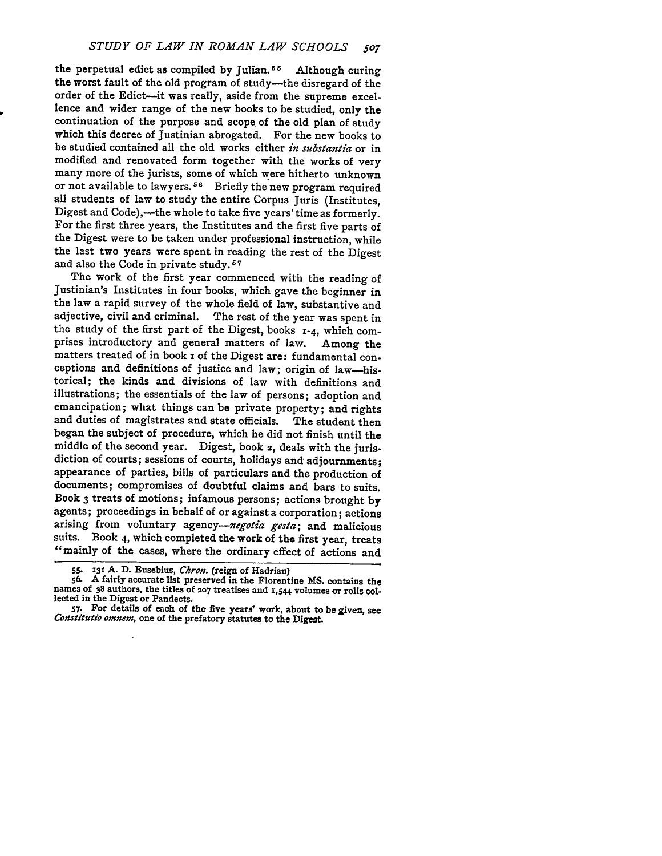the perpetual edict as compiled by Julian.<sup>55</sup> Although curing the worst fault of the old program of study-the disregard of the order of the Edict-it was really, aside from the supreme excellence and wider range of the new books to be studied, only the continuation of the purpose and scope of the old plan of study which this decree of Justinian abrogated. For the new books to be studied contained all the old works either *in substantia* or in modified and renovated form together with the works of very many more of the jurists, some of which were hitherto unknown or not available to lawyers.<sup>56</sup> Briefly the new program required all students of law to study the entire Corpus Juris (Institutes, Digest and Code),---the whole to take five years' time as formerly. For the first three years, the Institutes and the first five parts of the Digest were to be taken under professional instruction, while the last two years were spent in reading the rest of the Digest and also the Code in private study. **<sup>7</sup>**

The work of the first year commenced with the reading of Justinian's Institutes in four books, which gave the beginner in the law a rapid survey of the whole field of law, substantive and adjective, civil and criminal. The rest of the year was spent in the study of the first part of the Digest, books **1-4,** which comprises introductory and general matters of law. Among the matters treated of in book x of the Digest are: fundamental conceptions and definitions of justice and law; origin of law-his. torical; the kinds and divisions of law with definitions and illustrations; the essentials of the law of persons; adoption and emancipation; what things can be private property; and rights and duties of magistrates and state officials. The student then began the subject of procedure, which he did not finish until the middle of the second year. Digest, book 2, deals with the jurisdiction of courts; sessions of courts, holidays and adjournments; appearance of parties, bills of particulars and the production of documents; compromises of doubtful claims and bars to suits. Book 3 treats of motions; infamous persons; actions brought by agents; proceedings in behalf of or against a corporation; actions arising from voluntary *agency-negotia gesta;* and malicious suits. Book 4, which completed the work of the first year, treats "mainly of the cases, where the ordinary effect of actions and

<sup>55. 131</sup> A. D. Eusebius, *Chron*. (reign of Hadrian)<br>56. A fairly accurate list preserved in the Florentine MS. contains the<br>names of 38 authors, the titles of 207 treatises and 1,544 volumes or rolls collected in the Digest or Pandects.

**<sup>57.</sup>** For details of each of the five years' work, about to **be** given, see *Coitsfitutio omnem,* one of the prefatory statutes to the Digest.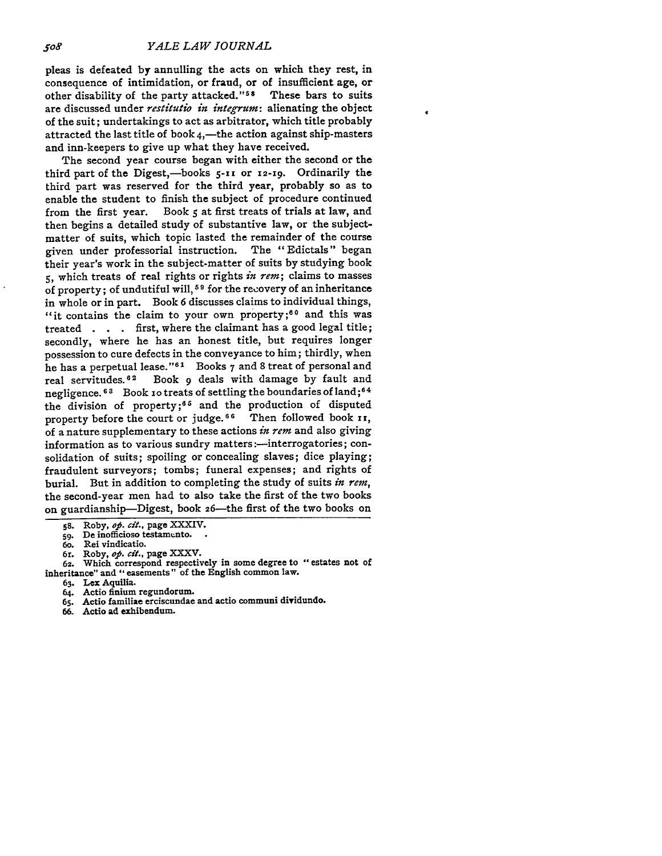pleas is defeated **by** annulling the acts on which they rest, in consequence of intimidation, or fraud, or of insufficient age, or other disability of the party attacked."<sup>58</sup> These bars to suits are discussed under *restitutio in integrum:* alienating the object of the suit; undertakings to act as arbitrator, which title probably attracted the last title of book  $4,$ —the action against ship-masters and inn-keepers to give up what they have received.

The second year course began with either the second or the third part of the Digest,-books 5-11 or 12-19. Ordinarily the third part was reserved for the third year, probably so as to enable the student to finish the subject of procedure continued from the first year. Book **5** at first treats of trials at law, and then begins a detailed study of substantive law, or the subjectmatter of suits, which topic lasted the remainder of the course given under professorial instruction. The "Edictals" began their year's work in the subject-matter of suits **by** studying book **5,** which treats of real rights or rights *in rem;* claims to masses of property; of undutiful will, **5 9** for the recovery of an inheritance in whole or in part. Book **6** discusses claims to individual things, "it contains the claim to your own property;<sup>60</sup> and this was treated **. . .** first, where the claimant has a good legal title; secondly, where he has an honest title, but requires longer possession to cure defects in the conveyance to him; thirdly, when he has a perpetual lease."<sup>61</sup> Books 7 and 8 treat of personal and real servitudes.<sup>62</sup> Book 9 deals with damage by fault and Book 9 deals with damage by fault and negligence. 63 Book 10 treats of settling the boundaries of land; 64 the division of property; 65 and the production of disputed property before the court or judge.<sup>66</sup> Then followed book **ii**, of a nature supplementary to these actions *in rem* and also giving information as to various sundry matters:--interrogatories; consolidation of suits; spoiling or concealing slaves; dice playing; fraudulent surveyors; tombs; funeral expenses; and rights of burial. But in addition to completing the study of suits *in rem,* the second-year men had to also take the first of the two books on guardianship-Digest, book 26-the first of the two books on

- 
- 61. Roby, **of. cit.,** page XXXV. **62.** Which correspond respectively in some degree to "estates not of inheritance" and "easements" of the English common law.
	- **63. Lex** Aquilia.
	- **64.** Actio finium regundorum.
	- **65.** Actio familiae erciscundae and actio communi dividundo.
	- **66.** Actio ad exhibendum.

**S8.** Roby, *oj0. cit.,* page XXXIV.

<sup>59.</sup> De inofficioso testamento.

<sup>6</sup>o. Rei vindicatio.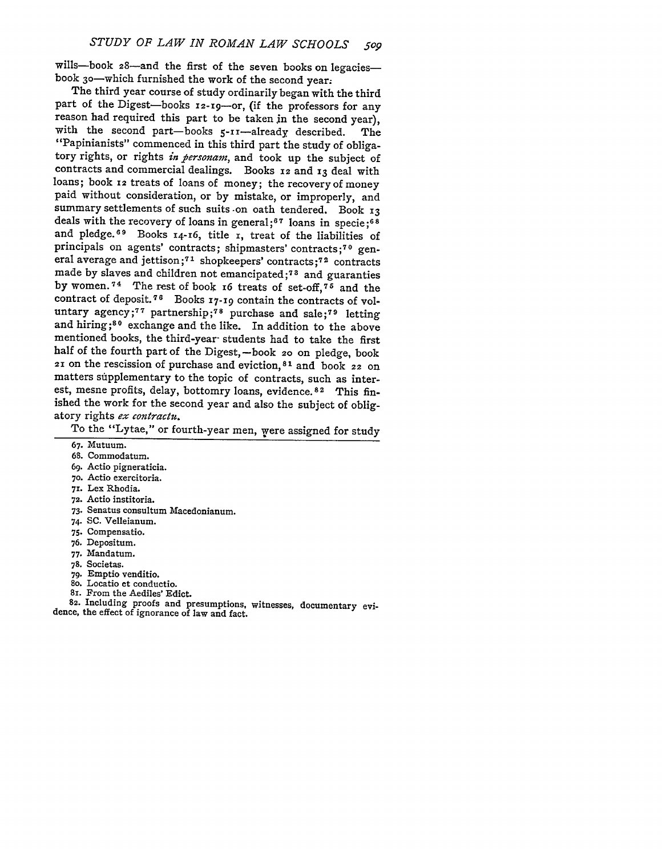wills-book 28-and the first of the seven books on legaciesbook 30-which furnished the work of the second year.

The third year course of study ordinarily began with the third part of the Digest-books **12-i9-or,** (if the professors for any reason had required this part to be taken jn the second year), with the second part-books 5-11-already described. The "Papinianists" commenced in this third part the study of obligatory rights, or rights *in bersonam,* and took up the subject of contracts and commercial dealings. Books **12** and **13** deal with loans; book **12** treats of loans of money; the recovery of money paid without consideration, or by mistake, or improperly, and summary settlements of such suits -on oath tendered. Book **13** deals with the recovery of loans in general;6 **<sup>7</sup>**loans in specie **;-8** and pledge.<sup>69</sup> Books 14-16, title r, treat of the liabilities of principals on agents' contracts; shipmasters' contracts;<sup>70</sup> general average and jettison;<sup>71</sup> shopkeepers' contracts;<sup>72</sup> contracts made by slaves and children not emancipated;<sup>73</sup> and guaranties by women.<sup>74</sup> The rest of book 16 treats of set-off, <sup>75</sup> and the contract of deposit.<sup>76</sup> Books 17-19 contain the contracts of voluntary agency;<sup>77</sup> partnership;<sup>78</sup> purchase and sale:<sup>79</sup> letting and hiring;<sup>80</sup> exchange and the like. In addition to the above mentioned books, the third-year- students had to take the first half of the fourth part of the Digest, -book 20 on pledge, book **<sup>21</sup>**on the rescission of purchase and eviction, <sup>8</sup> 1 and book 22 on matters supplementary to the topic of contracts, such as interest, mesne profits, delay, bottomry loans, evidence.<sup>82</sup> This finished the work for the second year and also the subject of obligatory rights *ex contractu.*

To the "Lytae," or fourth-year men, were assigned for study

- 68. Commodatum.
- **69.** Actio pigneraticia.
- **70.** Actio exercitoria.
- **71.** Lex Rhodia.
- **72.** Actio institoria.
- 73. Senatus consultum Macedonianum.
- 74. **SC.** Velleianum.
- 75. Compensatio.
- 76. Depositum.
- 77. Mandatum.
- 78. Societas.
- 79. Emptio venditio.
- 8o. Locatio et conductio.
- **8i.** From the Aediles' Edict.

**82.** Including proofs and presumptions, witnesses, documentary evidence, the effect of ignorance of law and fact.

<sup>67.</sup> Mutuum.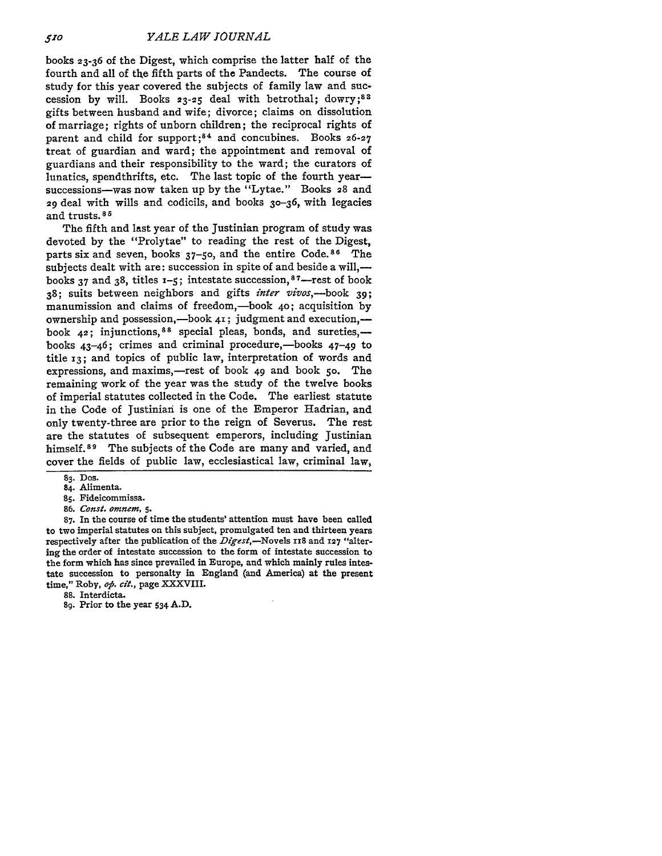books **23-36** of the Digest, which comprise the latter half of the fourth and all of the fifth parts of the Pandects. The course of study for this year covered the subjects of family law and succession by will. Books 23-25 deal with betrothal; dowry;<sup>83</sup> gifts between husband and wife; divorce; claims on dissolution of marriage; rights of unborn children; the reciprocal rights of parent and child for support;<sup>84</sup> and concubines. Books 26-27 treat of guardian and ward; the appointment and removal of guardians and their responsibility to the ward; the curators of lunatics, spendthrifts, etc. The last topic of the fourth yearsuccessions-was now taken up by the "Lytae." Books 28 and 29 deal with wills and codicils, and books 30-36, with legacies and trusts. **<sup>8</sup>***r*

The fifth and last year of the Justinian program of study was devoted by the "Prolytae" to reading the rest of the Digest, parts six and seven, books  $37$ -50, and the entire Code.<sup>86</sup> The subjects dealt with are: succession in spite of and beside a will, books **37** and 38, titles **x-5;** intestate succession, 8 7-rest of book 38; suits between neighbors and gifts *inter vivos,-book 39;* manumission and claims of freedom,-book 40; acquisition by ownership and possession,—book  $41$ ; judgment and execution, book 42; injunctions, 88 special pleas, bonds, and sureties,books  $43-46$ ; crimes and criminal procedure,—books  $47-49$  to title **i3;** and topics of public law, interpretation of words and expressions, and maxims,-rest of book 49 and book 50. The remaining work of the year was the study of the twelve books of imperial statutes collected in the Code. The earliest statute in the Code of Justinian is one of the Emperor Hadrian, and only twenty-three are prior to the reign of Severus. The rest are the statutes of subsequent emperors, including Justinian himself.<sup>89</sup> The subjects of the Code are many and varied, and cover the fields of public law, ecclesiastical law, criminal law,

- **85.** Fideicommissa.
- **86.** *Const. omnem, 5.*

**87.** In the course of time the students' attention must have been called to two imperial statutes on this subject, promulgated ten and thirteen years respectively after the publication of the *Digest,-Novels* 118 and **127** "altering the order of intestate succession to the form of intestate succession to the form which has since prevailed in Europe, and which mainly rules intestate succession to personalty in England (and America) at the present time," Roby, *op. cit.,* page XXXVIII.

**88.** Interdicta.

**89.** Prior to the year **534 A.D.**

**<sup>83.</sup>** Dos.

<sup>84.</sup> Alimenta.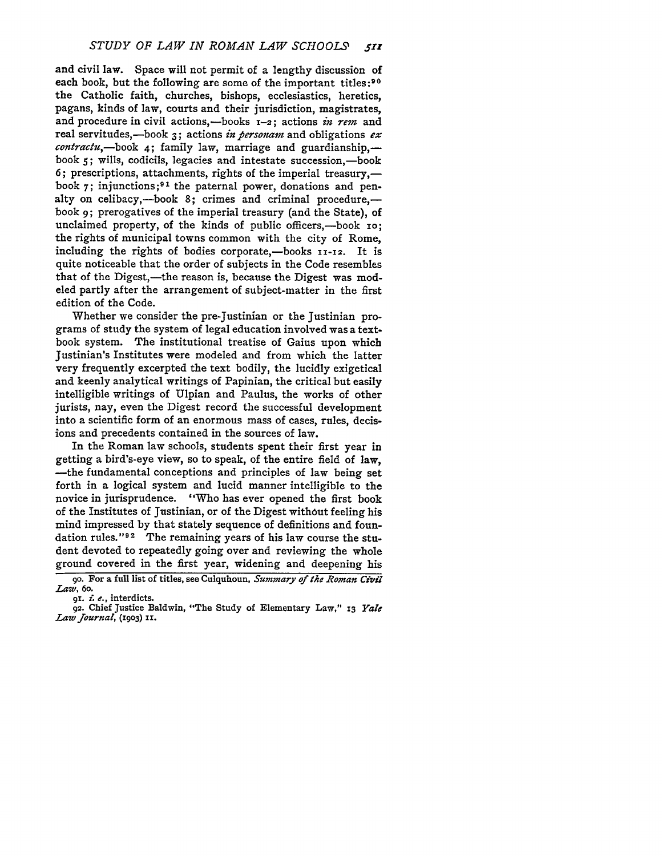and civil law. Space will not permit of a lengthy discussion of each book, but the following are some of the important titles:<sup>90</sup> the Catholic faith, churches, bishops, ecclesiastics, heretics, pagans, kinds of law, courts and their jurisdiction, magistrates, and procedure in civil actions,-books 1-2; actions *in rem* and real servitudes,-book **3;** actions *in personam* and obligations *ex* contractu,-book 4; family law, marriage and guardianship,book 5; wills, codicils, legacies and intestate succession,-book 6; prescriptions, attachments, rights of the imperial treasury,book  $\gamma$ ; injunctions;<sup>91</sup> the paternal power, donations and penalty on celibacy,-book  $8$ ; crimes and criminal procedure.book **9;** prerogatives of the imperial treasury (and the State), of unclaimed property, of the kinds of public officers,-book 10; the rights of municipal towns common with the city of Rome, including the rights of bodies corporate,-books **11-12**. It is quite noticeable that the order of subjects in the Code resembles that of the Digest,—the reason is, because the Digest was modeled partly after the arrangement of subject-matter in the first edition of the Code.

Whether we consider the pre-Justinian or the Justinian programs of study the system of legal education involved was a textbook system. The institutional treatise of Gaius upon which Justinian's Institutes were modeled and from which the latter very frequently excerpted the text bodily, the lucidly exigetical and keenly analytical writings of Papinian, the critical but easily intelligible writings of Ulpian and Paulus, the works of other jurists, nay, even the Digest record the successful development into a scientific form of an enormous mass of cases, rules, decisions and precedents contained in the sources of law.

In the Roman law schools, students spent their first year in getting a bird's-eye view, so to speak, of the entire field of law, -the fundamental conceptions and principles of law being set forth in a logical system and lucid manner intelligible to the novice in jurisprudence. "Who has ever opened the first book of the Institutes of Justinian, or of the Digest without feeling his mind impressed by that stately sequence of definitions and foundation rules."<sup>92</sup> The remaining years of his law course the student devoted to repeatedly going over and reviewing the whole ground covered in the first year, widening and deepening his

go. For a full list of titles, see Culquhoun, *Summary of the Roman Civil Law,* 6o. gi. £ *e.,* interdicts.

**<sup>92.</sup>** Chief Justice Baldwin, "The Study of Elementary Law," **13** *Yale Law Journal,* **(1903) I.**